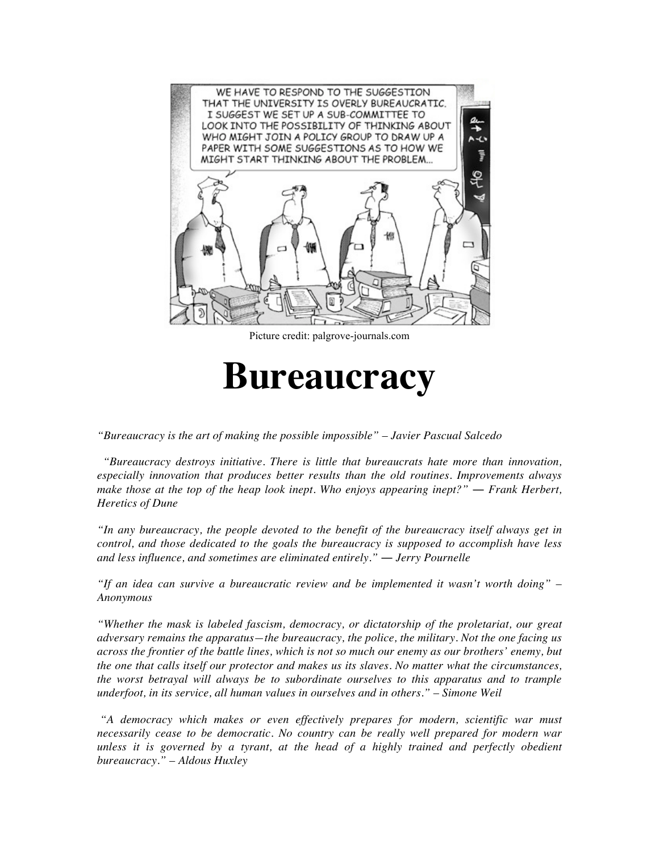

Picture credit: palgrove-journals.com

# **Bureaucracy**

*"Bureaucracy is the art of making the possible impossible" – Javier Pascual Salcedo*

*"Bureaucracy destroys initiative. There is little that bureaucrats hate more than innovation, especially innovation that produces better results than the old routines. Improvements always make those at the top of the heap look inept. Who enjoys appearing inept?" — Frank Herbert, Heretics of Dune*

*"In any bureaucracy, the people devoted to the benefit of the bureaucracy itself always get in control, and those dedicated to the goals the bureaucracy is supposed to accomplish have less and less influence, and sometimes are eliminated entirely." ― Jerry Pournelle*

*"If an idea can survive a bureaucratic review and be implemented it wasn't worth doing" – Anonymous*

*"Whether the mask is labeled fascism, democracy, or dictatorship of the proletariat, our great adversary remains the apparatus—the bureaucracy, the police, the military. Not the one facing us across the frontier of the battle lines, which is not so much our enemy as our brothers' enemy, but the one that calls itself our protector and makes us its slaves. No matter what the circumstances, the worst betrayal will always be to subordinate ourselves to this apparatus and to trample underfoot, in its service, all human values in ourselves and in others." – Simone Weil*

*"A democracy which makes or even effectively prepares for modern, scientific war must necessarily cease to be democratic. No country can be really well prepared for modern war unless it is governed by a tyrant, at the head of a highly trained and perfectly obedient bureaucracy." – Aldous Huxley*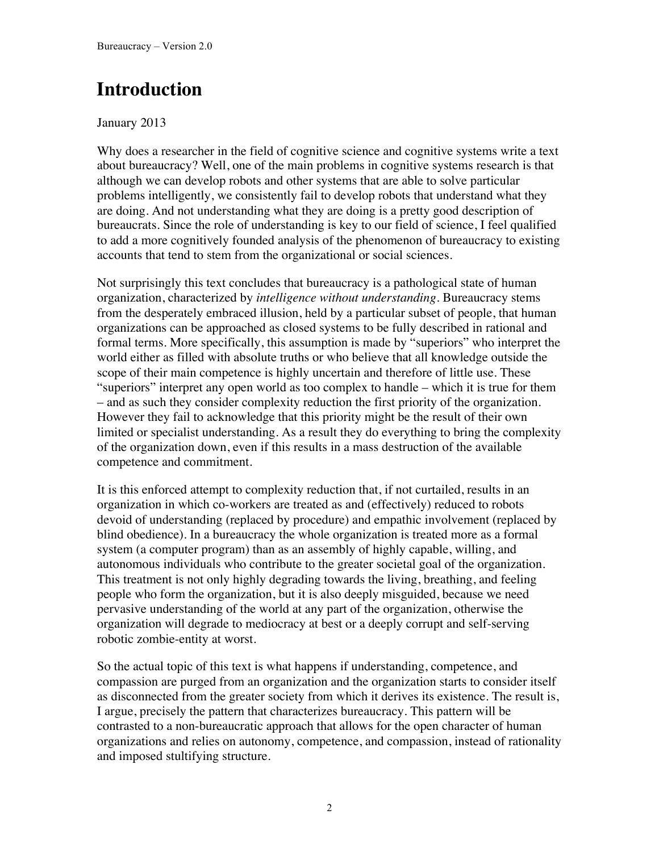# **Introduction**

#### January 2013

Why does a researcher in the field of cognitive science and cognitive systems write a text about bureaucracy? Well, one of the main problems in cognitive systems research is that although we can develop robots and other systems that are able to solve particular problems intelligently, we consistently fail to develop robots that understand what they are doing. And not understanding what they are doing is a pretty good description of bureaucrats. Since the role of understanding is key to our field of science, I feel qualified to add a more cognitively founded analysis of the phenomenon of bureaucracy to existing accounts that tend to stem from the organizational or social sciences.

Not surprisingly this text concludes that bureaucracy is a pathological state of human organization, characterized by *intelligence without understanding*. Bureaucracy stems from the desperately embraced illusion, held by a particular subset of people, that human organizations can be approached as closed systems to be fully described in rational and formal terms. More specifically, this assumption is made by "superiors" who interpret the world either as filled with absolute truths or who believe that all knowledge outside the scope of their main competence is highly uncertain and therefore of little use. These "superiors" interpret any open world as too complex to handle – which it is true for them – and as such they consider complexity reduction the first priority of the organization. However they fail to acknowledge that this priority might be the result of their own limited or specialist understanding. As a result they do everything to bring the complexity of the organization down, even if this results in a mass destruction of the available competence and commitment.

It is this enforced attempt to complexity reduction that, if not curtailed, results in an organization in which co-workers are treated as and (effectively) reduced to robots devoid of understanding (replaced by procedure) and empathic involvement (replaced by blind obedience). In a bureaucracy the whole organization is treated more as a formal system (a computer program) than as an assembly of highly capable, willing, and autonomous individuals who contribute to the greater societal goal of the organization. This treatment is not only highly degrading towards the living, breathing, and feeling people who form the organization, but it is also deeply misguided, because we need pervasive understanding of the world at any part of the organization, otherwise the organization will degrade to mediocracy at best or a deeply corrupt and self-serving robotic zombie-entity at worst.

So the actual topic of this text is what happens if understanding, competence, and compassion are purged from an organization and the organization starts to consider itself as disconnected from the greater society from which it derives its existence. The result is, I argue, precisely the pattern that characterizes bureaucracy. This pattern will be contrasted to a non-bureaucratic approach that allows for the open character of human organizations and relies on autonomy, competence, and compassion, instead of rationality and imposed stultifying structure.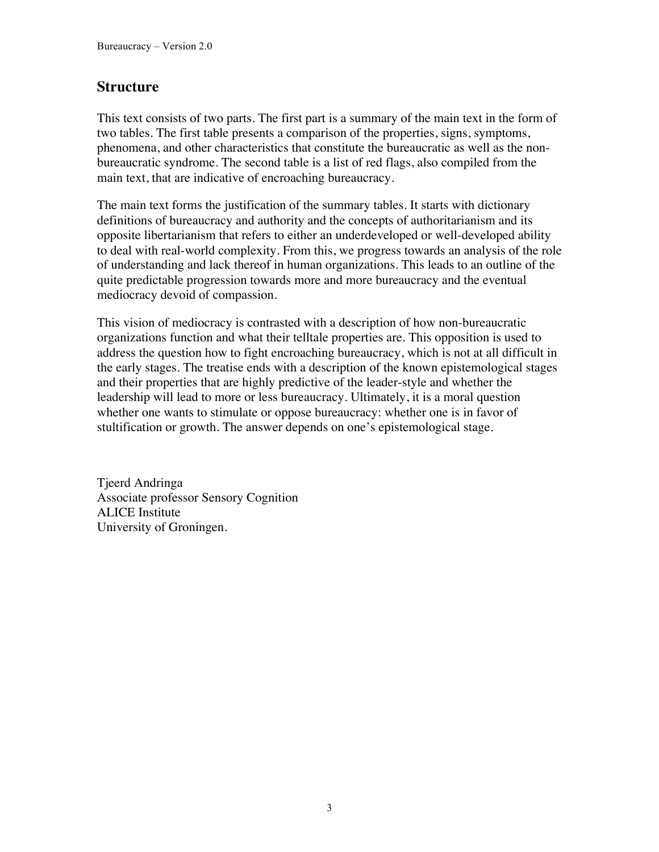#### **Structure**

This text consists of two parts. The first part is a summary of the main text in the form of two tables. The first table presents a comparison of the properties, signs, symptoms, phenomena, and other characteristics that constitute the bureaucratic as well as the nonbureaucratic syndrome. The second table is a list of red flags, also compiled from the main text, that are indicative of encroaching bureaucracy.

The main text forms the justification of the summary tables. It starts with dictionary definitions of bureaucracy and authority and the concepts of authoritarianism and its opposite libertarianism that refers to either an underdeveloped or well-developed ability to deal with real-world complexity. From this, we progress towards an analysis of the role of understanding and lack thereof in human organizations. This leads to an outline of the quite predictable progression towards more and more bureaucracy and the eventual mediocracy devoid of compassion.

This vision of mediocracy is contrasted with a description of how non-bureaucratic organizations function and what their telltale properties are. This opposition is used to address the question how to fight encroaching bureaucracy, which is not at all difficult in the early stages. The treatise ends with a description of the known epistemological stages and their properties that are highly predictive of the leader-style and whether the leadership will lead to more or less bureaucracy. Ultimately, it is a moral question whether one wants to stimulate or oppose bureaucracy: whether one is in favor of stultification or growth. The answer depends on one's epistemological stage.

Tjeerd Andringa Associate professor Sensory Cognition ALICE Institute University of Groningen.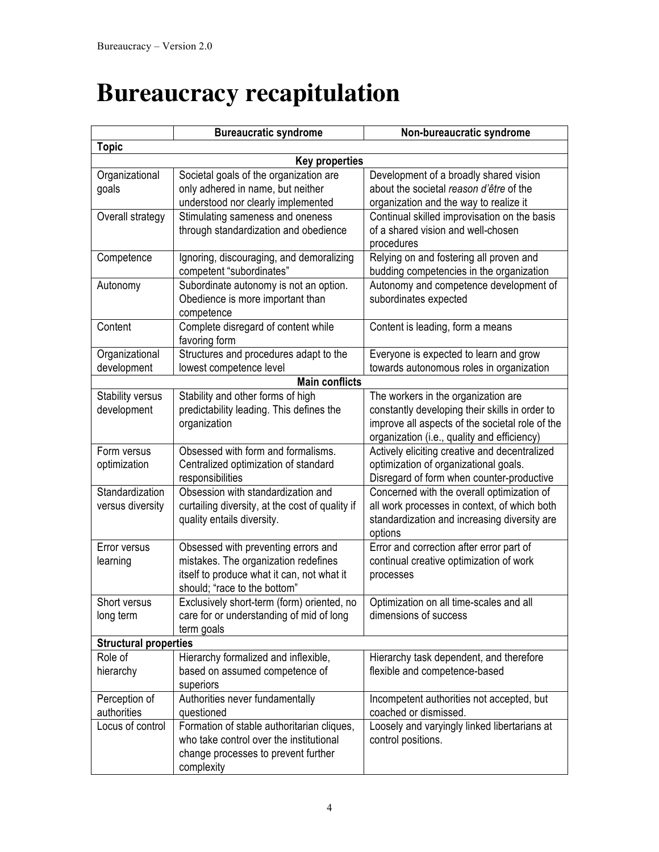# **Bureaucracy recapitulation**

|                              | <b>Bureaucratic syndrome</b>                                                  | Non-bureaucratic syndrome                                                                    |  |  |  |
|------------------------------|-------------------------------------------------------------------------------|----------------------------------------------------------------------------------------------|--|--|--|
| <b>Topic</b>                 |                                                                               |                                                                                              |  |  |  |
| <b>Key properties</b>        |                                                                               |                                                                                              |  |  |  |
| Organizational               | Societal goals of the organization are                                        | Development of a broadly shared vision                                                       |  |  |  |
| goals                        | only adhered in name, but neither                                             | about the societal reason d'être of the                                                      |  |  |  |
|                              | understood nor clearly implemented                                            | organization and the way to realize it                                                       |  |  |  |
| Overall strategy             | Stimulating sameness and oneness                                              | Continual skilled improvisation on the basis                                                 |  |  |  |
|                              | through standardization and obedience                                         | of a shared vision and well-chosen                                                           |  |  |  |
|                              |                                                                               | procedures                                                                                   |  |  |  |
| Competence                   | Ignoring, discouraging, and demoralizing                                      | Relying on and fostering all proven and                                                      |  |  |  |
|                              | competent "subordinates"                                                      | budding competencies in the organization                                                     |  |  |  |
| Autonomy                     | Subordinate autonomy is not an option.                                        | Autonomy and competence development of                                                       |  |  |  |
|                              | Obedience is more important than                                              | subordinates expected                                                                        |  |  |  |
|                              | competence                                                                    |                                                                                              |  |  |  |
| Content                      | Complete disregard of content while<br>favoring form                          | Content is leading, form a means                                                             |  |  |  |
| Organizational               | Structures and procedures adapt to the                                        | Everyone is expected to learn and grow                                                       |  |  |  |
| development                  | lowest competence level                                                       | towards autonomous roles in organization                                                     |  |  |  |
|                              | <b>Main conflicts</b>                                                         |                                                                                              |  |  |  |
| Stability versus             | Stability and other forms of high                                             | The workers in the organization are                                                          |  |  |  |
| development                  | predictability leading. This defines the                                      | constantly developing their skills in order to                                               |  |  |  |
|                              | organization                                                                  | improve all aspects of the societal role of the                                              |  |  |  |
|                              |                                                                               | organization (i.e., quality and efficiency)                                                  |  |  |  |
| Form versus                  | Obsessed with form and formalisms.                                            | Actively eliciting creative and decentralized                                                |  |  |  |
| optimization                 | Centralized optimization of standard                                          | optimization of organizational goals.                                                        |  |  |  |
|                              | responsibilities                                                              | Disregard of form when counter-productive                                                    |  |  |  |
| Standardization              | Obsession with standardization and                                            | Concerned with the overall optimization of                                                   |  |  |  |
| versus diversity             | curtailing diversity, at the cost of quality if<br>quality entails diversity. | all work processes in context, of which both<br>standardization and increasing diversity are |  |  |  |
|                              |                                                                               | options                                                                                      |  |  |  |
| Error versus                 | Obsessed with preventing errors and                                           | Error and correction after error part of                                                     |  |  |  |
| learning                     | mistakes. The organization redefines                                          | continual creative optimization of work                                                      |  |  |  |
|                              | itself to produce what it can, not what it                                    | processes                                                                                    |  |  |  |
|                              | should; "race to the bottom"                                                  |                                                                                              |  |  |  |
| Short versus                 | Exclusively short-term (form) oriented, no                                    | Optimization on all time-scales and all                                                      |  |  |  |
| long term                    | care for or understanding of mid of long                                      | dimensions of success                                                                        |  |  |  |
|                              | term goals                                                                    |                                                                                              |  |  |  |
| <b>Structural properties</b> |                                                                               |                                                                                              |  |  |  |
| Role of                      | Hierarchy formalized and inflexible,                                          | Hierarchy task dependent, and therefore                                                      |  |  |  |
| hierarchy                    | based on assumed competence of                                                | flexible and competence-based                                                                |  |  |  |
|                              | superiors                                                                     |                                                                                              |  |  |  |
| Perception of                | Authorities never fundamentally                                               | Incompetent authorities not accepted, but                                                    |  |  |  |
| authorities                  | questioned                                                                    | coached or dismissed.                                                                        |  |  |  |
| Locus of control             | Formation of stable authoritarian cliques,                                    | Loosely and varyingly linked libertarians at                                                 |  |  |  |
|                              | who take control over the institutional                                       | control positions.                                                                           |  |  |  |
|                              | change processes to prevent further                                           |                                                                                              |  |  |  |
|                              | complexity                                                                    |                                                                                              |  |  |  |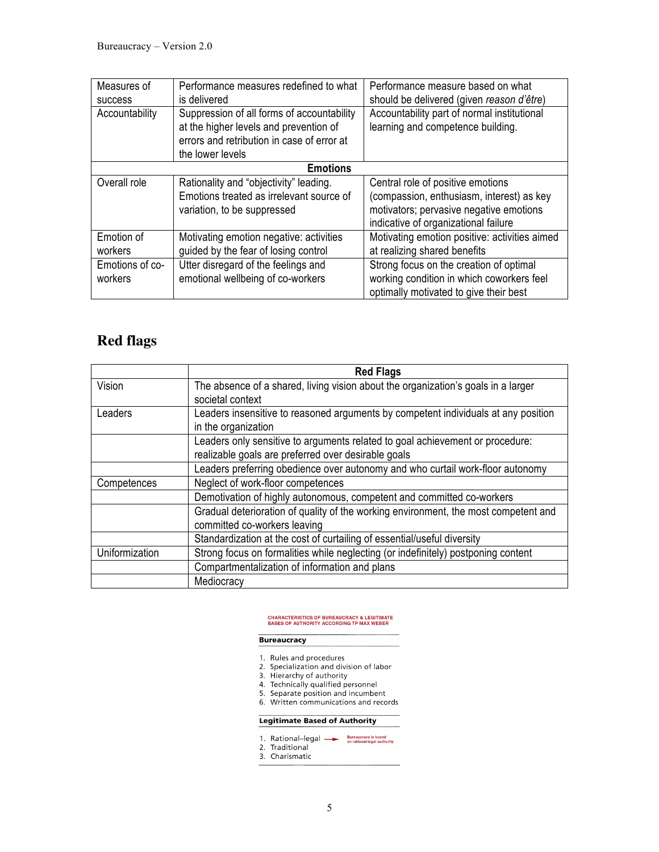| Measures of<br><b>SUCCESS</b> | Performance measures redefined to what<br>is delivered                                                                                                 | Performance measure based on what<br>should be delivered (given reason d'être)                                                                                    |  |  |
|-------------------------------|--------------------------------------------------------------------------------------------------------------------------------------------------------|-------------------------------------------------------------------------------------------------------------------------------------------------------------------|--|--|
| Accountability                | Suppression of all forms of accountability<br>at the higher levels and prevention of<br>errors and retribution in case of error at<br>the lower levels | Accountability part of normal institutional<br>learning and competence building.                                                                                  |  |  |
| <b>Emotions</b>               |                                                                                                                                                        |                                                                                                                                                                   |  |  |
| Overall role                  | Rationality and "objectivity" leading.<br>Emotions treated as irrelevant source of<br>variation, to be suppressed                                      | Central role of positive emotions<br>(compassion, enthusiasm, interest) as key<br>motivators; pervasive negative emotions<br>indicative of organizational failure |  |  |
| Emotion of<br>workers         | Motivating emotion negative: activities<br>guided by the fear of losing control                                                                        | Motivating emotion positive: activities aimed<br>at realizing shared benefits                                                                                     |  |  |
| Emotions of co-<br>workers    | Utter disregard of the feelings and<br>emotional wellbeing of co-workers                                                                               | Strong focus on the creation of optimal<br>working condition in which coworkers feel<br>optimally motivated to give their best                                    |  |  |

#### **Red flags**

|                | <b>Red Flags</b>                                                                    |  |  |
|----------------|-------------------------------------------------------------------------------------|--|--|
| Vision         | The absence of a shared, living vision about the organization's goals in a larger   |  |  |
|                | societal context                                                                    |  |  |
| Leaders        | Leaders insensitive to reasoned arguments by competent individuals at any position  |  |  |
|                | in the organization                                                                 |  |  |
|                | Leaders only sensitive to arguments related to goal achievement or procedure:       |  |  |
|                | realizable goals are preferred over desirable goals                                 |  |  |
|                | Leaders preferring obedience over autonomy and who curtail work-floor autonomy      |  |  |
| Competences    | Neglect of work-floor competences                                                   |  |  |
|                | Demotivation of highly autonomous, competent and committed co-workers               |  |  |
|                | Gradual deterioration of quality of the working environment, the most competent and |  |  |
|                | committed co-workers leaving                                                        |  |  |
|                | Standardization at the cost of curtailing of essential/useful diversity             |  |  |
| Uniformization | Strong focus on formalities while neglecting (or indefinitely) postponing content   |  |  |
|                | Compartmentalization of information and plans                                       |  |  |
|                | Mediocracy                                                                          |  |  |

#### **CHARACTERISTICS OF BUREAUCRACY & LEGITIMATE<br>BASES OF AUTHORITY ACCORDING TP MAX WEBER**

#### **Bureaucracy**

- 
- 
- 
- 
- 
- 1. Rules and procedures<br>2. Specialization and division of labor<br>3. Hierarchy of authority<br>4. Technically qualified personnel<br>5. Separate position and incumbent<br>6. Written communications and records

#### **Legitimate Based of Authority**

1. Rational-legal 
<br>
Pureaucracy is based<br>
on rational-legal authority 2. Traditional<br>3. Charismatic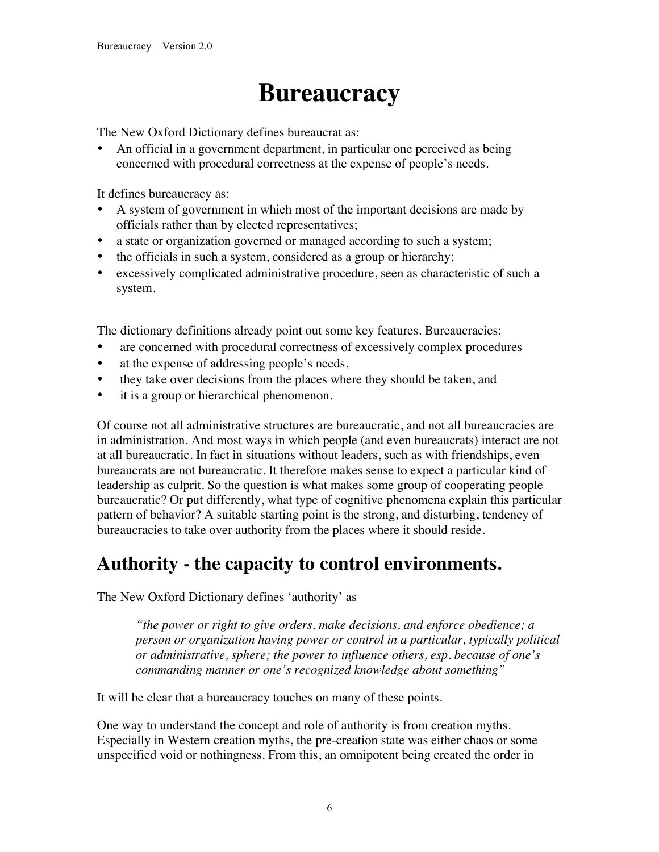# **Bureaucracy**

The New Oxford Dictionary defines bureaucrat as:

• An official in a government department, in particular one perceived as being concerned with procedural correctness at the expense of people's needs.

It defines bureaucracy as:

- A system of government in which most of the important decisions are made by officials rather than by elected representatives;
- a state or organization governed or managed according to such a system;
- the officials in such a system, considered as a group or hierarchy;
- excessively complicated administrative procedure, seen as characteristic of such a system.

The dictionary definitions already point out some key features. Bureaucracies:

- are concerned with procedural correctness of excessively complex procedures
- at the expense of addressing people's needs,
- they take over decisions from the places where they should be taken, and
- it is a group or hierarchical phenomenon.

Of course not all administrative structures are bureaucratic, and not all bureaucracies are in administration. And most ways in which people (and even bureaucrats) interact are not at all bureaucratic. In fact in situations without leaders, such as with friendships, even bureaucrats are not bureaucratic. It therefore makes sense to expect a particular kind of leadership as culprit. So the question is what makes some group of cooperating people bureaucratic? Or put differently, what type of cognitive phenomena explain this particular pattern of behavior? A suitable starting point is the strong, and disturbing, tendency of bureaucracies to take over authority from the places where it should reside.

#### **Authority - the capacity to control environments.**

The New Oxford Dictionary defines 'authority' as

*"the power or right to give orders, make decisions, and enforce obedience; a person or organization having power or control in a particular, typically political or administrative, sphere; the power to influence others, esp. because of one's commanding manner or one's recognized knowledge about something"*

It will be clear that a bureaucracy touches on many of these points.

One way to understand the concept and role of authority is from creation myths. Especially in Western creation myths, the pre-creation state was either chaos or some unspecified void or nothingness. From this, an omnipotent being created the order in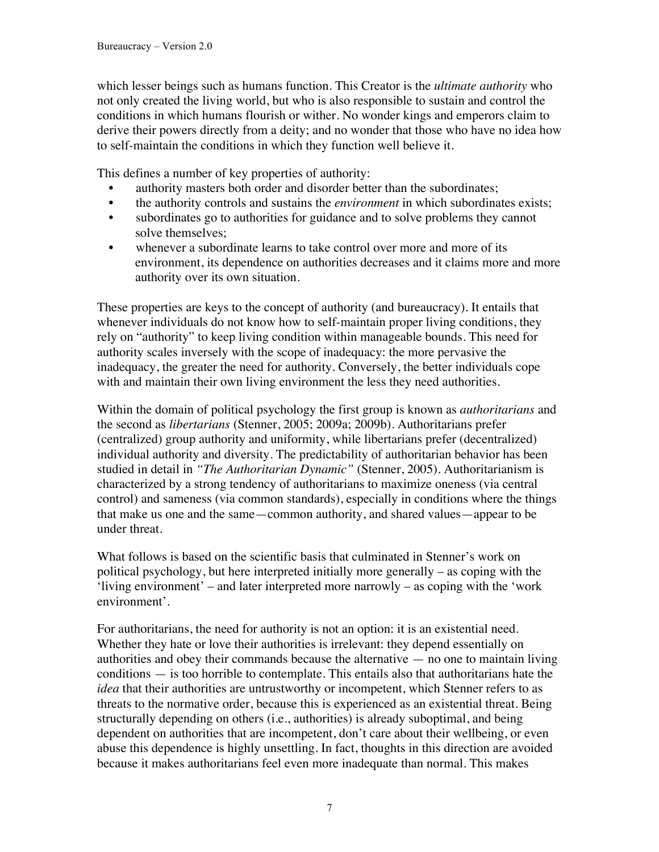which lesser beings such as humans function. This Creator is the *ultimate authority* who not only created the living world, but who is also responsible to sustain and control the conditions in which humans flourish or wither. No wonder kings and emperors claim to derive their powers directly from a deity; and no wonder that those who have no idea how to self-maintain the conditions in which they function well believe it.

This defines a number of key properties of authority:

- authority masters both order and disorder better than the subordinates;
- the authority controls and sustains the *environment* in which subordinates exists;
- subordinates go to authorities for guidance and to solve problems they cannot solve themselves;
- whenever a subordinate learns to take control over more and more of its environment, its dependence on authorities decreases and it claims more and more authority over its own situation.

These properties are keys to the concept of authority (and bureaucracy). It entails that whenever individuals do not know how to self-maintain proper living conditions, they rely on "authority" to keep living condition within manageable bounds. This need for authority scales inversely with the scope of inadequacy: the more pervasive the inadequacy, the greater the need for authority. Conversely, the better individuals cope with and maintain their own living environment the less they need authorities.

Within the domain of political psychology the first group is known as *authoritarians* and the second as *libertarians* (Stenner, 2005; 2009a; 2009b). Authoritarians prefer (centralized) group authority and uniformity, while libertarians prefer (decentralized) individual authority and diversity. The predictability of authoritarian behavior has been studied in detail in *"The Authoritarian Dynamic"* (Stenner, 2005). Authoritarianism is characterized by a strong tendency of authoritarians to maximize oneness (via central control) and sameness (via common standards), especially in conditions where the things that make us one and the same—common authority, and shared values—appear to be under threat.

What follows is based on the scientific basis that culminated in Stenner's work on political psychology, but here interpreted initially more generally – as coping with the 'living environment' – and later interpreted more narrowly – as coping with the 'work environment'.

For authoritarians, the need for authority is not an option: it is an existential need. Whether they hate or love their authorities is irrelevant: they depend essentially on authorities and obey their commands because the alternative  $-$  no one to maintain living conditions — is too horrible to contemplate. This entails also that authoritarians hate the *idea* that their authorities are untrustworthy or incompetent, which Stenner refers to as threats to the normative order, because this is experienced as an existential threat. Being structurally depending on others (i.e., authorities) is already suboptimal, and being dependent on authorities that are incompetent, don't care about their wellbeing, or even abuse this dependence is highly unsettling. In fact, thoughts in this direction are avoided because it makes authoritarians feel even more inadequate than normal. This makes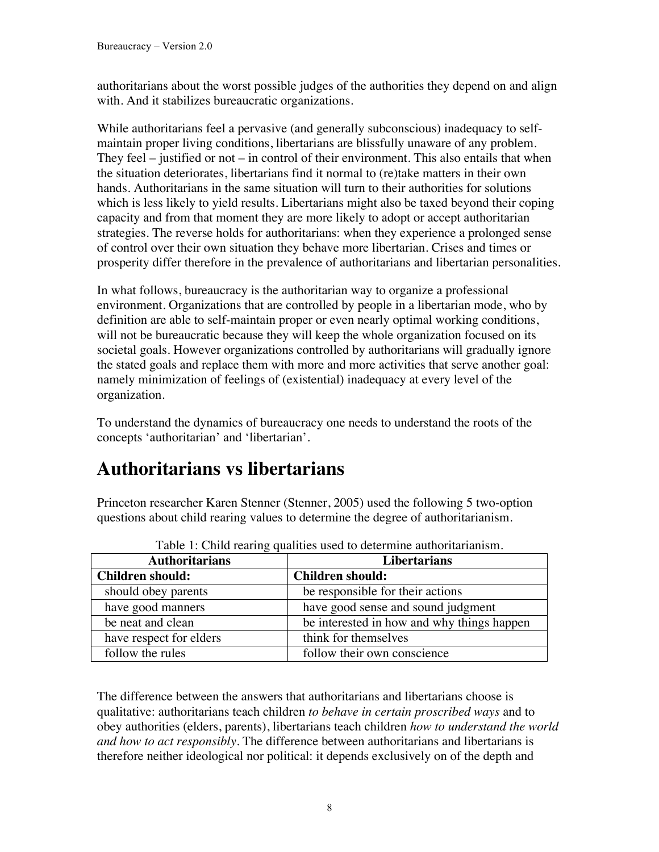authoritarians about the worst possible judges of the authorities they depend on and align with. And it stabilizes bureaucratic organizations.

While authoritarians feel a pervasive (and generally subconscious) inadequacy to selfmaintain proper living conditions, libertarians are blissfully unaware of any problem. They feel – justified or not – in control of their environment. This also entails that when the situation deteriorates, libertarians find it normal to (re)take matters in their own hands. Authoritarians in the same situation will turn to their authorities for solutions which is less likely to yield results. Libertarians might also be taxed beyond their coping capacity and from that moment they are more likely to adopt or accept authoritarian strategies. The reverse holds for authoritarians: when they experience a prolonged sense of control over their own situation they behave more libertarian. Crises and times or prosperity differ therefore in the prevalence of authoritarians and libertarian personalities.

In what follows, bureaucracy is the authoritarian way to organize a professional environment. Organizations that are controlled by people in a libertarian mode, who by definition are able to self-maintain proper or even nearly optimal working conditions, will not be bureaucratic because they will keep the whole organization focused on its societal goals. However organizations controlled by authoritarians will gradually ignore the stated goals and replace them with more and more activities that serve another goal: namely minimization of feelings of (existential) inadequacy at every level of the organization.

To understand the dynamics of bureaucracy one needs to understand the roots of the concepts 'authoritarian' and 'libertarian'.

#### **Authoritarians vs libertarians**

Princeton researcher Karen Stenner (Stenner, 2005) used the following 5 two-option questions about child rearing values to determine the degree of authoritarianism.

| Table 1. Child rearing qualities used to determine additional family. |                                            |  |
|-----------------------------------------------------------------------|--------------------------------------------|--|
| <b>Authoritarians</b>                                                 | <b>Libertarians</b>                        |  |
| <b>Children should:</b>                                               | Children should:                           |  |
| should obey parents                                                   | be responsible for their actions           |  |
| have good manners                                                     | have good sense and sound judgment         |  |
| be neat and clean                                                     | be interested in how and why things happen |  |
| have respect for elders                                               | think for themselves                       |  |
| follow the rules                                                      | follow their own conscience                |  |

Table 1: Child rearing qualities used to determine authoritarianism.

The difference between the answers that authoritarians and libertarians choose is qualitative: authoritarians teach children *to behave in certain proscribed ways* and to obey authorities (elders, parents), libertarians teach children *how to understand the world and how to act responsibly*. The difference between authoritarians and libertarians is therefore neither ideological nor political: it depends exclusively on of the depth and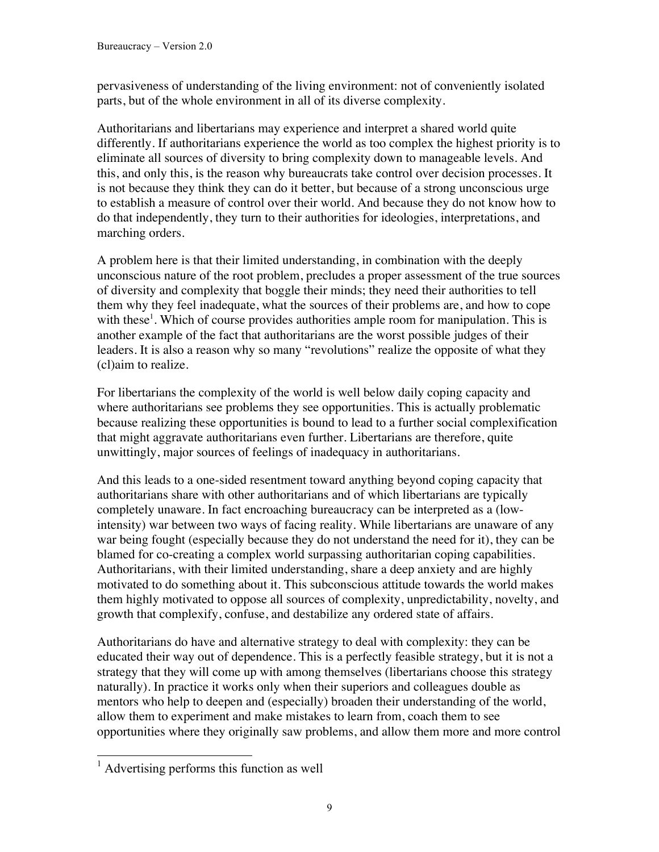pervasiveness of understanding of the living environment: not of conveniently isolated parts, but of the whole environment in all of its diverse complexity.

Authoritarians and libertarians may experience and interpret a shared world quite differently. If authoritarians experience the world as too complex the highest priority is to eliminate all sources of diversity to bring complexity down to manageable levels. And this, and only this, is the reason why bureaucrats take control over decision processes. It is not because they think they can do it better, but because of a strong unconscious urge to establish a measure of control over their world. And because they do not know how to do that independently, they turn to their authorities for ideologies, interpretations, and marching orders.

A problem here is that their limited understanding, in combination with the deeply unconscious nature of the root problem, precludes a proper assessment of the true sources of diversity and complexity that boggle their minds; they need their authorities to tell them why they feel inadequate, what the sources of their problems are, and how to cope with these<sup>1</sup>. Which of course provides authorities ample room for manipulation. This is another example of the fact that authoritarians are the worst possible judges of their leaders. It is also a reason why so many "revolutions" realize the opposite of what they (cl)aim to realize.

For libertarians the complexity of the world is well below daily coping capacity and where authoritarians see problems they see opportunities. This is actually problematic because realizing these opportunities is bound to lead to a further social complexification that might aggravate authoritarians even further. Libertarians are therefore, quite unwittingly, major sources of feelings of inadequacy in authoritarians.

And this leads to a one-sided resentment toward anything beyond coping capacity that authoritarians share with other authoritarians and of which libertarians are typically completely unaware. In fact encroaching bureaucracy can be interpreted as a (lowintensity) war between two ways of facing reality. While libertarians are unaware of any war being fought (especially because they do not understand the need for it), they can be blamed for co-creating a complex world surpassing authoritarian coping capabilities. Authoritarians, with their limited understanding, share a deep anxiety and are highly motivated to do something about it. This subconscious attitude towards the world makes them highly motivated to oppose all sources of complexity, unpredictability, novelty, and growth that complexify, confuse, and destabilize any ordered state of affairs.

Authoritarians do have and alternative strategy to deal with complexity: they can be educated their way out of dependence. This is a perfectly feasible strategy, but it is not a strategy that they will come up with among themselves (libertarians choose this strategy naturally). In practice it works only when their superiors and colleagues double as mentors who help to deepen and (especially) broaden their understanding of the world, allow them to experiment and make mistakes to learn from, coach them to see opportunities where they originally saw problems, and allow them more and more control

<sup>&</sup>lt;sup>1</sup> Advertising performs this function as well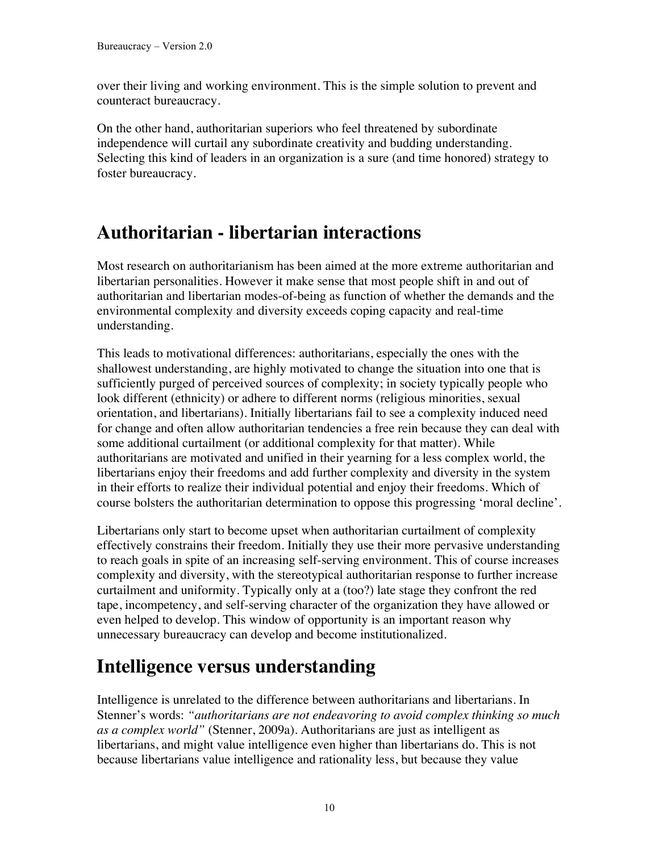over their living and working environment. This is the simple solution to prevent and counteract bureaucracy.

On the other hand, authoritarian superiors who feel threatened by subordinate independence will curtail any subordinate creativity and budding understanding. Selecting this kind of leaders in an organization is a sure (and time honored) strategy to foster bureaucracy.

### **Authoritarian - libertarian interactions**

Most research on authoritarianism has been aimed at the more extreme authoritarian and libertarian personalities. However it make sense that most people shift in and out of authoritarian and libertarian modes-of-being as function of whether the demands and the environmental complexity and diversity exceeds coping capacity and real-time understanding.

This leads to motivational differences: authoritarians, especially the ones with the shallowest understanding, are highly motivated to change the situation into one that is sufficiently purged of perceived sources of complexity; in society typically people who look different (ethnicity) or adhere to different norms (religious minorities, sexual orientation, and libertarians). Initially libertarians fail to see a complexity induced need for change and often allow authoritarian tendencies a free rein because they can deal with some additional curtailment (or additional complexity for that matter). While authoritarians are motivated and unified in their yearning for a less complex world, the libertarians enjoy their freedoms and add further complexity and diversity in the system in their efforts to realize their individual potential and enjoy their freedoms. Which of course bolsters the authoritarian determination to oppose this progressing 'moral decline'.

Libertarians only start to become upset when authoritarian curtailment of complexity effectively constrains their freedom. Initially they use their more pervasive understanding to reach goals in spite of an increasing self-serving environment. This of course increases complexity and diversity, with the stereotypical authoritarian response to further increase curtailment and uniformity. Typically only at a (too?) late stage they confront the red tape, incompetency, and self-serving character of the organization they have allowed or even helped to develop. This window of opportunity is an important reason why unnecessary bureaucracy can develop and become institutionalized.

## **Intelligence versus understanding**

Intelligence is unrelated to the difference between authoritarians and libertarians. In Stenner's words: *"authoritarians are not endeavoring to avoid complex thinking so much as a complex world"* (Stenner, 2009a). Authoritarians are just as intelligent as libertarians, and might value intelligence even higher than libertarians do. This is not because libertarians value intelligence and rationality less, but because they value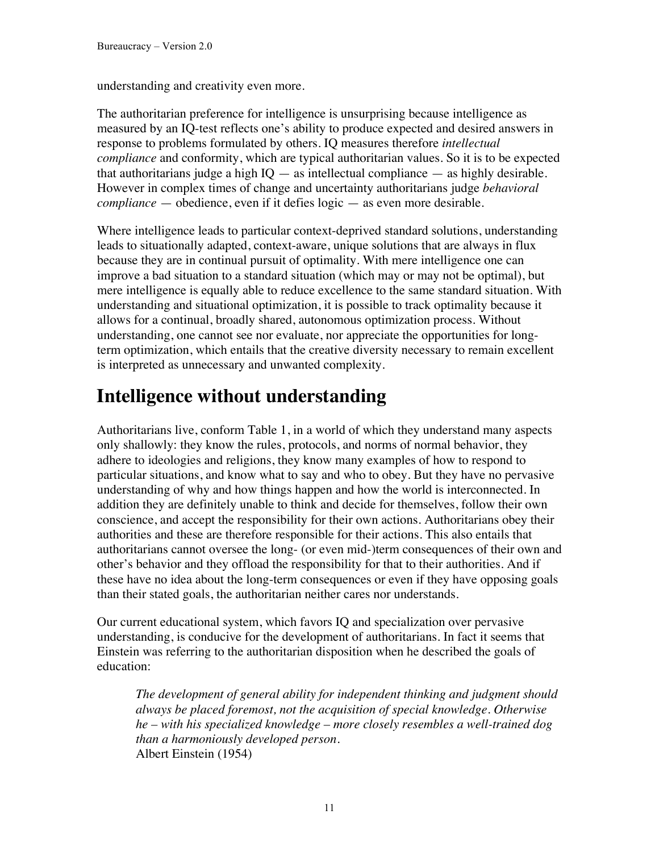understanding and creativity even more.

The authoritarian preference for intelligence is unsurprising because intelligence as measured by an IQ-test reflects one's ability to produce expected and desired answers in response to problems formulated by others. IQ measures therefore *intellectual compliance* and conformity, which are typical authoritarian values. So it is to be expected that authoritarians judge a high  $IO -$  as intellectual compliance  $-$  as highly desirable. However in complex times of change and uncertainty authoritarians judge *behavioral compliance* — obedience, even if it defies logic — as even more desirable.

Where intelligence leads to particular context-deprived standard solutions, understanding leads to situationally adapted, context-aware, unique solutions that are always in flux because they are in continual pursuit of optimality. With mere intelligence one can improve a bad situation to a standard situation (which may or may not be optimal), but mere intelligence is equally able to reduce excellence to the same standard situation. With understanding and situational optimization, it is possible to track optimality because it allows for a continual, broadly shared, autonomous optimization process. Without understanding, one cannot see nor evaluate, nor appreciate the opportunities for longterm optimization, which entails that the creative diversity necessary to remain excellent is interpreted as unnecessary and unwanted complexity.

#### **Intelligence without understanding**

Authoritarians live, conform Table 1, in a world of which they understand many aspects only shallowly: they know the rules, protocols, and norms of normal behavior, they adhere to ideologies and religions, they know many examples of how to respond to particular situations, and know what to say and who to obey. But they have no pervasive understanding of why and how things happen and how the world is interconnected. In addition they are definitely unable to think and decide for themselves, follow their own conscience, and accept the responsibility for their own actions. Authoritarians obey their authorities and these are therefore responsible for their actions. This also entails that authoritarians cannot oversee the long- (or even mid-)term consequences of their own and other's behavior and they offload the responsibility for that to their authorities. And if these have no idea about the long-term consequences or even if they have opposing goals than their stated goals, the authoritarian neither cares nor understands.

Our current educational system, which favors IQ and specialization over pervasive understanding, is conducive for the development of authoritarians. In fact it seems that Einstein was referring to the authoritarian disposition when he described the goals of education:

*The development of general ability for independent thinking and judgment should always be placed foremost, not the acquisition of special knowledge. Otherwise he – with his specialized knowledge – more closely resembles a well-trained dog than a harmoniously developed person.*  Albert Einstein (1954)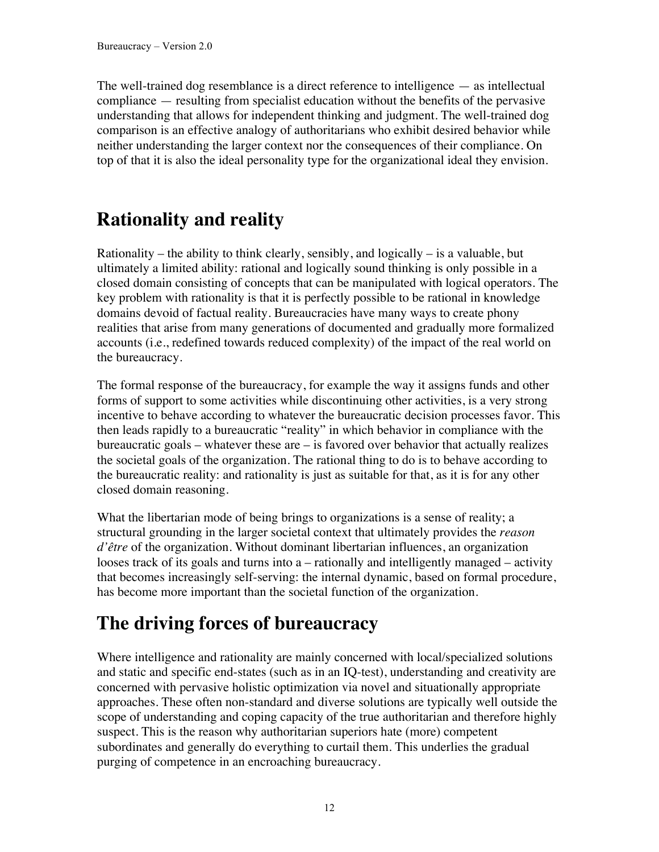The well-trained dog resemblance is a direct reference to intelligence — as intellectual compliance — resulting from specialist education without the benefits of the pervasive understanding that allows for independent thinking and judgment. The well-trained dog comparison is an effective analogy of authoritarians who exhibit desired behavior while neither understanding the larger context nor the consequences of their compliance. On top of that it is also the ideal personality type for the organizational ideal they envision.

### **Rationality and reality**

Rationality – the ability to think clearly, sensibly, and logically – is a valuable, but ultimately a limited ability: rational and logically sound thinking is only possible in a closed domain consisting of concepts that can be manipulated with logical operators. The key problem with rationality is that it is perfectly possible to be rational in knowledge domains devoid of factual reality. Bureaucracies have many ways to create phony realities that arise from many generations of documented and gradually more formalized accounts (i.e., redefined towards reduced complexity) of the impact of the real world on the bureaucracy.

The formal response of the bureaucracy, for example the way it assigns funds and other forms of support to some activities while discontinuing other activities, is a very strong incentive to behave according to whatever the bureaucratic decision processes favor. This then leads rapidly to a bureaucratic "reality" in which behavior in compliance with the bureaucratic goals – whatever these are – is favored over behavior that actually realizes the societal goals of the organization. The rational thing to do is to behave according to the bureaucratic reality: and rationality is just as suitable for that, as it is for any other closed domain reasoning.

What the libertarian mode of being brings to organizations is a sense of reality; a structural grounding in the larger societal context that ultimately provides the *reason d'être* of the organization. Without dominant libertarian influences, an organization looses track of its goals and turns into a – rationally and intelligently managed – activity that becomes increasingly self-serving: the internal dynamic, based on formal procedure, has become more important than the societal function of the organization.

## **The driving forces of bureaucracy**

Where intelligence and rationality are mainly concerned with local/specialized solutions and static and specific end-states (such as in an IQ-test), understanding and creativity are concerned with pervasive holistic optimization via novel and situationally appropriate approaches. These often non-standard and diverse solutions are typically well outside the scope of understanding and coping capacity of the true authoritarian and therefore highly suspect. This is the reason why authoritarian superiors hate (more) competent subordinates and generally do everything to curtail them. This underlies the gradual purging of competence in an encroaching bureaucracy.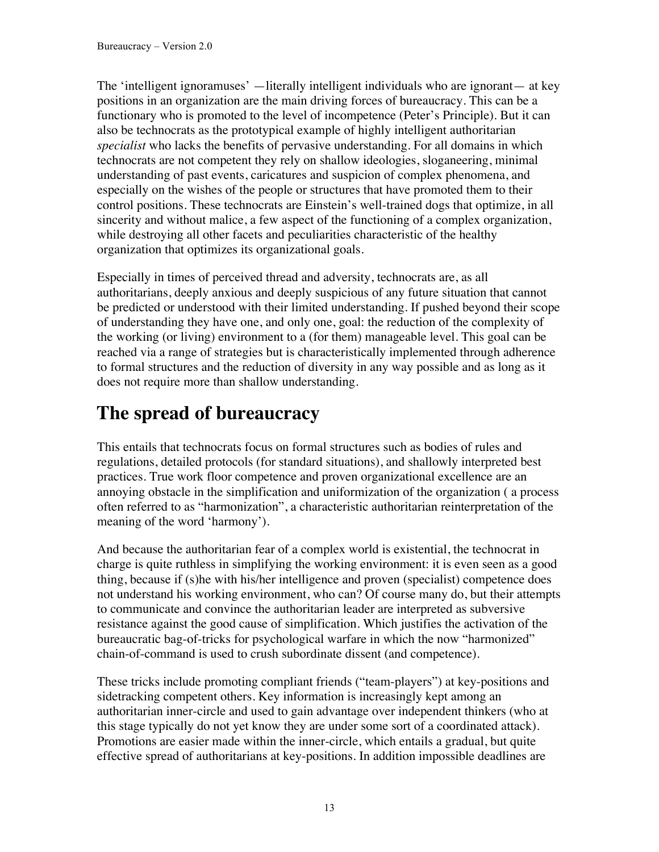The 'intelligent ignoramuses' —literally intelligent individuals who are ignorant— at key positions in an organization are the main driving forces of bureaucracy. This can be a functionary who is promoted to the level of incompetence (Peter's Principle). But it can also be technocrats as the prototypical example of highly intelligent authoritarian *specialist* who lacks the benefits of pervasive understanding. For all domains in which technocrats are not competent they rely on shallow ideologies, sloganeering, minimal understanding of past events, caricatures and suspicion of complex phenomena, and especially on the wishes of the people or structures that have promoted them to their control positions. These technocrats are Einstein's well-trained dogs that optimize, in all sincerity and without malice, a few aspect of the functioning of a complex organization, while destroying all other facets and peculiarities characteristic of the healthy organization that optimizes its organizational goals.

Especially in times of perceived thread and adversity, technocrats are, as all authoritarians, deeply anxious and deeply suspicious of any future situation that cannot be predicted or understood with their limited understanding. If pushed beyond their scope of understanding they have one, and only one, goal: the reduction of the complexity of the working (or living) environment to a (for them) manageable level. This goal can be reached via a range of strategies but is characteristically implemented through adherence to formal structures and the reduction of diversity in any way possible and as long as it does not require more than shallow understanding.

### **The spread of bureaucracy**

This entails that technocrats focus on formal structures such as bodies of rules and regulations, detailed protocols (for standard situations), and shallowly interpreted best practices. True work floor competence and proven organizational excellence are an annoying obstacle in the simplification and uniformization of the organization ( a process often referred to as "harmonization", a characteristic authoritarian reinterpretation of the meaning of the word 'harmony').

And because the authoritarian fear of a complex world is existential, the technocrat in charge is quite ruthless in simplifying the working environment: it is even seen as a good thing, because if (s)he with his/her intelligence and proven (specialist) competence does not understand his working environment, who can? Of course many do, but their attempts to communicate and convince the authoritarian leader are interpreted as subversive resistance against the good cause of simplification. Which justifies the activation of the bureaucratic bag-of-tricks for psychological warfare in which the now "harmonized" chain-of-command is used to crush subordinate dissent (and competence).

These tricks include promoting compliant friends ("team-players") at key-positions and sidetracking competent others. Key information is increasingly kept among an authoritarian inner-circle and used to gain advantage over independent thinkers (who at this stage typically do not yet know they are under some sort of a coordinated attack). Promotions are easier made within the inner-circle, which entails a gradual, but quite effective spread of authoritarians at key-positions. In addition impossible deadlines are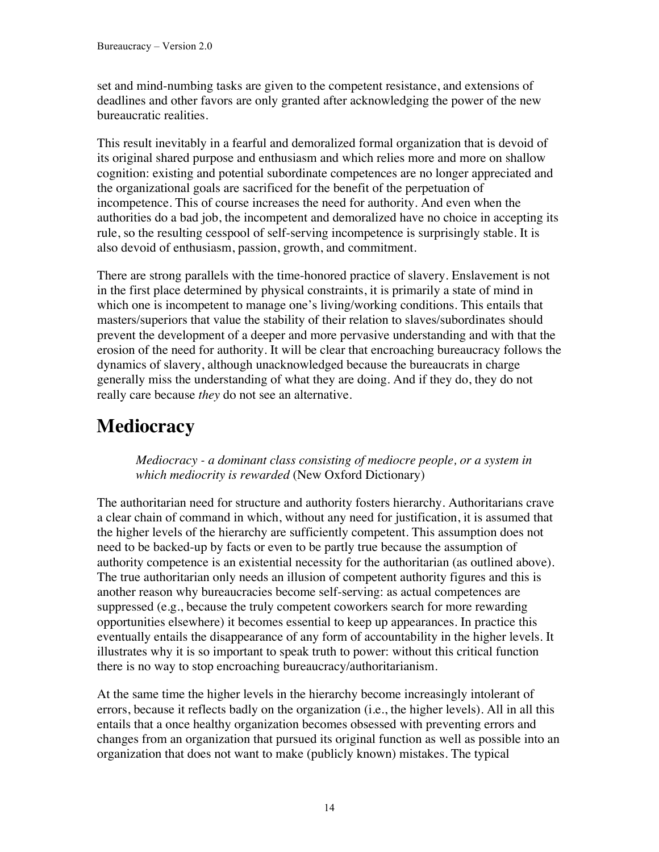set and mind-numbing tasks are given to the competent resistance, and extensions of deadlines and other favors are only granted after acknowledging the power of the new bureaucratic realities.

This result inevitably in a fearful and demoralized formal organization that is devoid of its original shared purpose and enthusiasm and which relies more and more on shallow cognition: existing and potential subordinate competences are no longer appreciated and the organizational goals are sacrificed for the benefit of the perpetuation of incompetence. This of course increases the need for authority. And even when the authorities do a bad job, the incompetent and demoralized have no choice in accepting its rule, so the resulting cesspool of self-serving incompetence is surprisingly stable. It is also devoid of enthusiasm, passion, growth, and commitment.

There are strong parallels with the time-honored practice of slavery. Enslavement is not in the first place determined by physical constraints, it is primarily a state of mind in which one is incompetent to manage one's living/working conditions. This entails that masters/superiors that value the stability of their relation to slaves/subordinates should prevent the development of a deeper and more pervasive understanding and with that the erosion of the need for authority. It will be clear that encroaching bureaucracy follows the dynamics of slavery, although unacknowledged because the bureaucrats in charge generally miss the understanding of what they are doing. And if they do, they do not really care because *they* do not see an alternative.

## **Mediocracy**

*Mediocracy - a dominant class consisting of mediocre people, or a system in which mediocrity is rewarded* (New Oxford Dictionary)

The authoritarian need for structure and authority fosters hierarchy. Authoritarians crave a clear chain of command in which, without any need for justification, it is assumed that the higher levels of the hierarchy are sufficiently competent. This assumption does not need to be backed-up by facts or even to be partly true because the assumption of authority competence is an existential necessity for the authoritarian (as outlined above). The true authoritarian only needs an illusion of competent authority figures and this is another reason why bureaucracies become self-serving: as actual competences are suppressed (e.g., because the truly competent coworkers search for more rewarding opportunities elsewhere) it becomes essential to keep up appearances. In practice this eventually entails the disappearance of any form of accountability in the higher levels. It illustrates why it is so important to speak truth to power: without this critical function there is no way to stop encroaching bureaucracy/authoritarianism.

At the same time the higher levels in the hierarchy become increasingly intolerant of errors, because it reflects badly on the organization (i.e., the higher levels). All in all this entails that a once healthy organization becomes obsessed with preventing errors and changes from an organization that pursued its original function as well as possible into an organization that does not want to make (publicly known) mistakes. The typical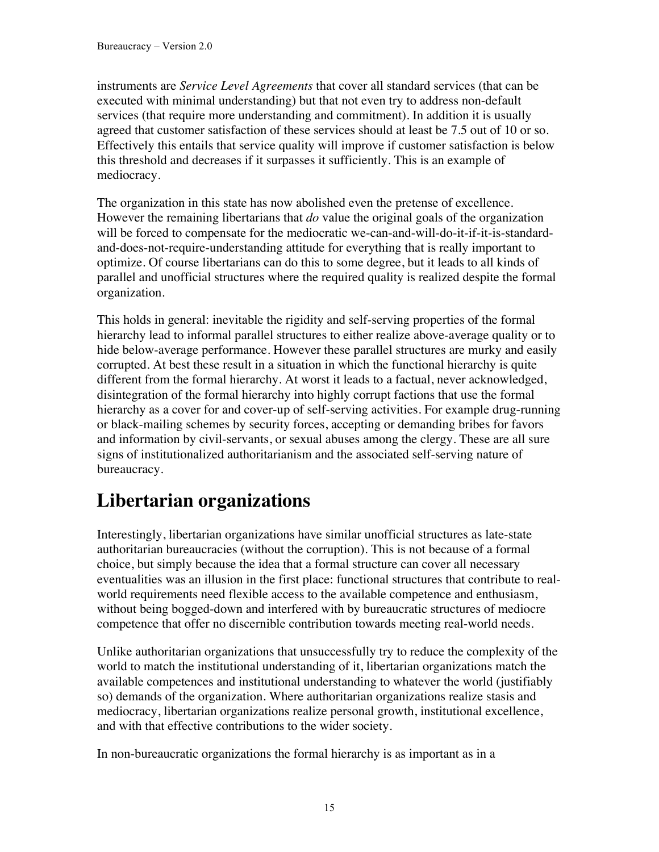instruments are *Service Level Agreements* that cover all standard services (that can be executed with minimal understanding) but that not even try to address non-default services (that require more understanding and commitment). In addition it is usually agreed that customer satisfaction of these services should at least be 7.5 out of 10 or so. Effectively this entails that service quality will improve if customer satisfaction is below this threshold and decreases if it surpasses it sufficiently. This is an example of mediocracy.

The organization in this state has now abolished even the pretense of excellence. However the remaining libertarians that *do* value the original goals of the organization will be forced to compensate for the mediocratic we-can-and-will-do-it-if-it-is-standardand-does-not-require-understanding attitude for everything that is really important to optimize. Of course libertarians can do this to some degree, but it leads to all kinds of parallel and unofficial structures where the required quality is realized despite the formal organization.

This holds in general: inevitable the rigidity and self-serving properties of the formal hierarchy lead to informal parallel structures to either realize above-average quality or to hide below-average performance. However these parallel structures are murky and easily corrupted. At best these result in a situation in which the functional hierarchy is quite different from the formal hierarchy. At worst it leads to a factual, never acknowledged, disintegration of the formal hierarchy into highly corrupt factions that use the formal hierarchy as a cover for and cover-up of self-serving activities. For example drug-running or black-mailing schemes by security forces, accepting or demanding bribes for favors and information by civil-servants, or sexual abuses among the clergy. These are all sure signs of institutionalized authoritarianism and the associated self-serving nature of bureaucracy.

#### **Libertarian organizations**

Interestingly, libertarian organizations have similar unofficial structures as late-state authoritarian bureaucracies (without the corruption). This is not because of a formal choice, but simply because the idea that a formal structure can cover all necessary eventualities was an illusion in the first place: functional structures that contribute to realworld requirements need flexible access to the available competence and enthusiasm, without being bogged-down and interfered with by bureaucratic structures of mediocre competence that offer no discernible contribution towards meeting real-world needs.

Unlike authoritarian organizations that unsuccessfully try to reduce the complexity of the world to match the institutional understanding of it, libertarian organizations match the available competences and institutional understanding to whatever the world (justifiably so) demands of the organization. Where authoritarian organizations realize stasis and mediocracy, libertarian organizations realize personal growth, institutional excellence, and with that effective contributions to the wider society.

In non-bureaucratic organizations the formal hierarchy is as important as in a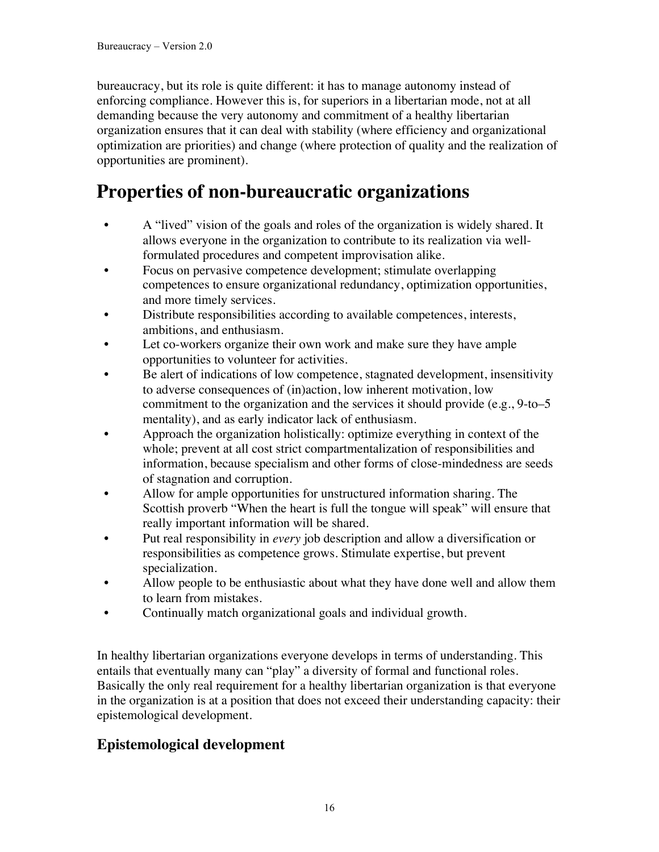bureaucracy, but its role is quite different: it has to manage autonomy instead of enforcing compliance. However this is, for superiors in a libertarian mode, not at all demanding because the very autonomy and commitment of a healthy libertarian organization ensures that it can deal with stability (where efficiency and organizational optimization are priorities) and change (where protection of quality and the realization of opportunities are prominent).

#### **Properties of non-bureaucratic organizations**

- A "lived" vision of the goals and roles of the organization is widely shared. It allows everyone in the organization to contribute to its realization via wellformulated procedures and competent improvisation alike.
- Focus on pervasive competence development; stimulate overlapping competences to ensure organizational redundancy, optimization opportunities, and more timely services.
- Distribute responsibilities according to available competences, interests, ambitions, and enthusiasm.
- Let co-workers organize their own work and make sure they have ample opportunities to volunteer for activities.
- Be alert of indications of low competence, stagnated development, insensitivity to adverse consequences of (in)action, low inherent motivation, low commitment to the organization and the services it should provide (e.g., 9-to–5 mentality), and as early indicator lack of enthusiasm.
- Approach the organization holistically: optimize everything in context of the whole; prevent at all cost strict compartmentalization of responsibilities and information, because specialism and other forms of close-mindedness are seeds of stagnation and corruption.
- Allow for ample opportunities for unstructured information sharing. The Scottish proverb "When the heart is full the tongue will speak" will ensure that really important information will be shared.
- Put real responsibility in *every* job description and allow a diversification or responsibilities as competence grows. Stimulate expertise, but prevent specialization.
- Allow people to be enthusiastic about what they have done well and allow them to learn from mistakes.
- Continually match organizational goals and individual growth.

In healthy libertarian organizations everyone develops in terms of understanding. This entails that eventually many can "play" a diversity of formal and functional roles. Basically the only real requirement for a healthy libertarian organization is that everyone in the organization is at a position that does not exceed their understanding capacity: their epistemological development.

#### **Epistemological development**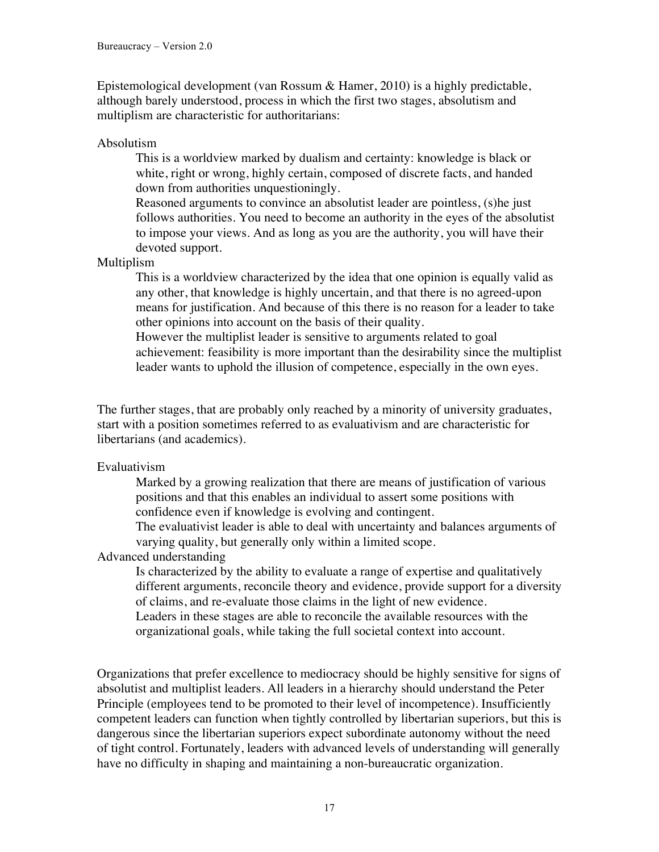Epistemological development (van Rossum & Hamer, 2010) is a highly predictable, although barely understood, process in which the first two stages, absolutism and multiplism are characteristic for authoritarians:

Absolutism

This is a worldview marked by dualism and certainty: knowledge is black or white, right or wrong, highly certain, composed of discrete facts, and handed down from authorities unquestioningly.

Reasoned arguments to convince an absolutist leader are pointless, (s)he just follows authorities. You need to become an authority in the eyes of the absolutist to impose your views. And as long as you are the authority, you will have their devoted support.

Multiplism

This is a worldview characterized by the idea that one opinion is equally valid as any other, that knowledge is highly uncertain, and that there is no agreed-upon means for justification. And because of this there is no reason for a leader to take other opinions into account on the basis of their quality.

However the multiplist leader is sensitive to arguments related to goal achievement: feasibility is more important than the desirability since the multiplist leader wants to uphold the illusion of competence, especially in the own eyes.

The further stages, that are probably only reached by a minority of university graduates, start with a position sometimes referred to as evaluativism and are characteristic for libertarians (and academics).

#### Evaluativism

Marked by a growing realization that there are means of justification of various positions and that this enables an individual to assert some positions with confidence even if knowledge is evolving and contingent.

The evaluativist leader is able to deal with uncertainty and balances arguments of varying quality, but generally only within a limited scope.

Advanced understanding

Is characterized by the ability to evaluate a range of expertise and qualitatively different arguments, reconcile theory and evidence, provide support for a diversity of claims, and re-evaluate those claims in the light of new evidence.

Leaders in these stages are able to reconcile the available resources with the organizational goals, while taking the full societal context into account.

Organizations that prefer excellence to mediocracy should be highly sensitive for signs of absolutist and multiplist leaders. All leaders in a hierarchy should understand the Peter Principle (employees tend to be promoted to their level of incompetence). Insufficiently competent leaders can function when tightly controlled by libertarian superiors, but this is dangerous since the libertarian superiors expect subordinate autonomy without the need of tight control. Fortunately, leaders with advanced levels of understanding will generally have no difficulty in shaping and maintaining a non-bureaucratic organization.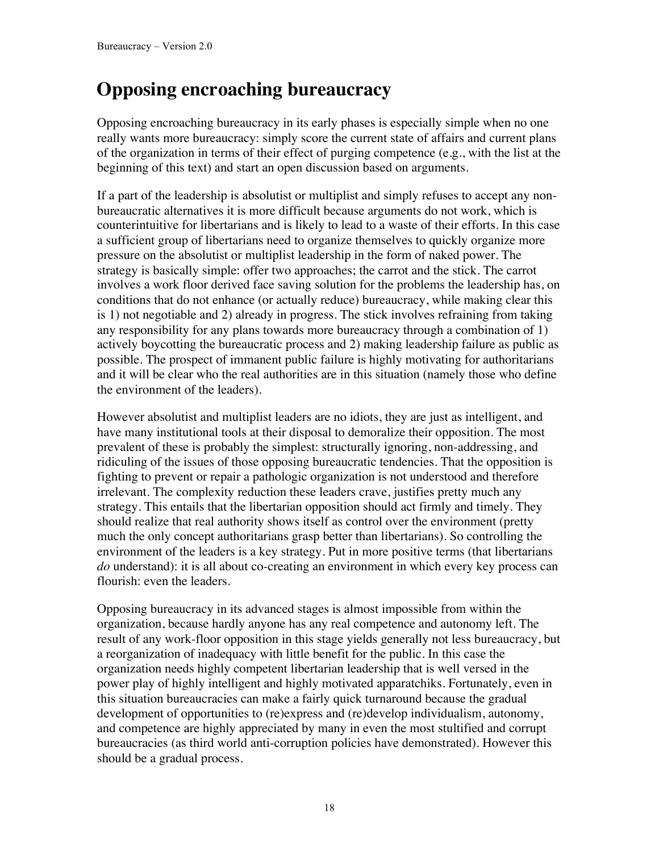## **Opposing encroaching bureaucracy**

Opposing encroaching bureaucracy in its early phases is especially simple when no one really wants more bureaucracy: simply score the current state of affairs and current plans of the organization in terms of their effect of purging competence (e.g., with the list at the beginning of this text) and start an open discussion based on arguments.

If a part of the leadership is absolutist or multiplist and simply refuses to accept any nonbureaucratic alternatives it is more difficult because arguments do not work, which is counterintuitive for libertarians and is likely to lead to a waste of their efforts. In this case a sufficient group of libertarians need to organize themselves to quickly organize more pressure on the absolutist or multiplist leadership in the form of naked power. The strategy is basically simple: offer two approaches; the carrot and the stick. The carrot involves a work floor derived face saving solution for the problems the leadership has, on conditions that do not enhance (or actually reduce) bureaucracy, while making clear this is 1) not negotiable and 2) already in progress. The stick involves refraining from taking any responsibility for any plans towards more bureaucracy through a combination of 1) actively boycotting the bureaucratic process and 2) making leadership failure as public as possible. The prospect of immanent public failure is highly motivating for authoritarians and it will be clear who the real authorities are in this situation (namely those who define the environment of the leaders).

However absolutist and multiplist leaders are no idiots, they are just as intelligent, and have many institutional tools at their disposal to demoralize their opposition. The most prevalent of these is probably the simplest: structurally ignoring, non-addressing, and ridiculing of the issues of those opposing bureaucratic tendencies. That the opposition is fighting to prevent or repair a pathologic organization is not understood and therefore irrelevant. The complexity reduction these leaders crave, justifies pretty much any strategy. This entails that the libertarian opposition should act firmly and timely. They should realize that real authority shows itself as control over the environment (pretty much the only concept authoritarians grasp better than libertarians). So controlling the environment of the leaders is a key strategy. Put in more positive terms (that libertarians *do* understand): it is all about co-creating an environment in which every key process can flourish: even the leaders.

Opposing bureaucracy in its advanced stages is almost impossible from within the organization, because hardly anyone has any real competence and autonomy left. The result of any work-floor opposition in this stage yields generally not less bureaucracy, but a reorganization of inadequacy with little benefit for the public. In this case the organization needs highly competent libertarian leadership that is well versed in the power play of highly intelligent and highly motivated apparatchiks. Fortunately, even in this situation bureaucracies can make a fairly quick turnaround because the gradual development of opportunities to (re)express and (re)develop individualism, autonomy, and competence are highly appreciated by many in even the most stultified and corrupt bureaucracies (as third world anti-corruption policies have demonstrated). However this should be a gradual process.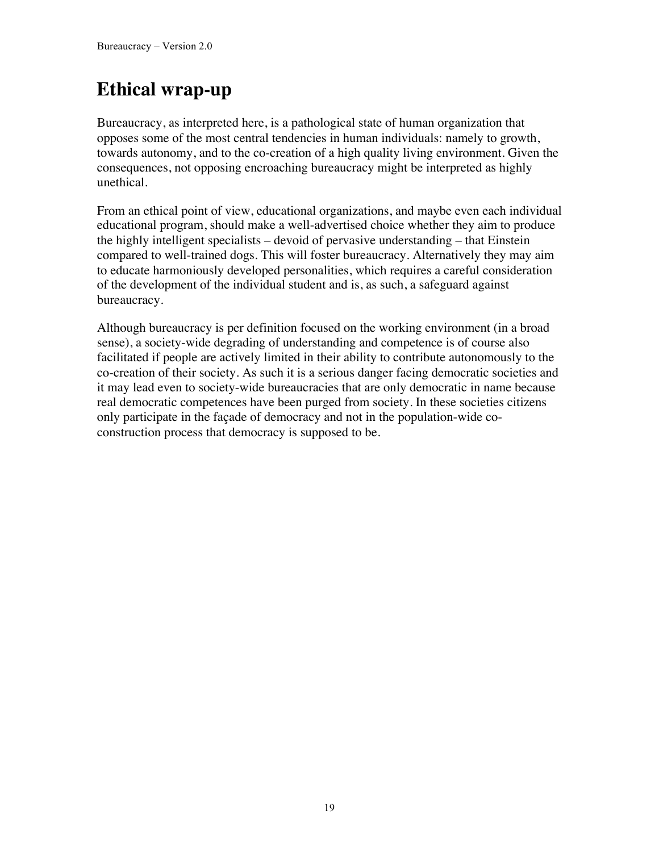## **Ethical wrap-up**

Bureaucracy, as interpreted here, is a pathological state of human organization that opposes some of the most central tendencies in human individuals: namely to growth, towards autonomy, and to the co-creation of a high quality living environment. Given the consequences, not opposing encroaching bureaucracy might be interpreted as highly unethical.

From an ethical point of view, educational organizations, and maybe even each individual educational program, should make a well-advertised choice whether they aim to produce the highly intelligent specialists – devoid of pervasive understanding – that Einstein compared to well-trained dogs. This will foster bureaucracy. Alternatively they may aim to educate harmoniously developed personalities, which requires a careful consideration of the development of the individual student and is, as such, a safeguard against bureaucracy.

Although bureaucracy is per definition focused on the working environment (in a broad sense), a society-wide degrading of understanding and competence is of course also facilitated if people are actively limited in their ability to contribute autonomously to the co-creation of their society. As such it is a serious danger facing democratic societies and it may lead even to society-wide bureaucracies that are only democratic in name because real democratic competences have been purged from society. In these societies citizens only participate in the façade of democracy and not in the population-wide coconstruction process that democracy is supposed to be.